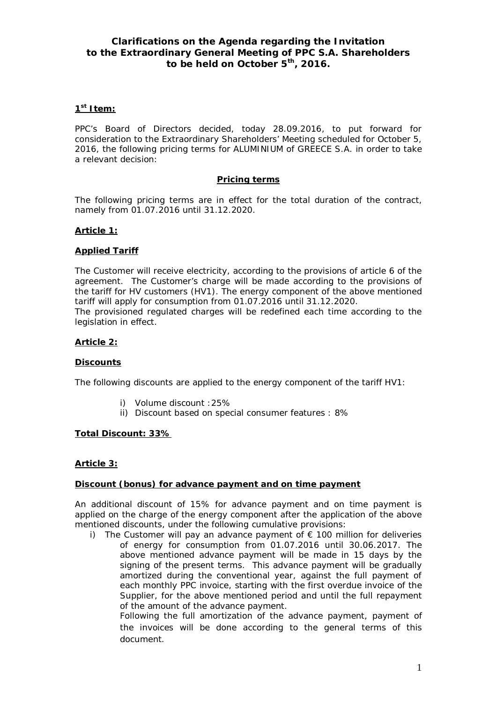# **Clarifications on the Agenda regarding the Invitation to the Extraordinary General Meeting of PPC S.A. Shareholders to be held on October 5th, 2016.**

## **1 st Item:**

PPC's Board of Directors decided, today 28.09.2016, to put forward for consideration to the Extraordinary Shareholders' Meeting scheduled for October 5, 2016, the following pricing terms for ALUMINIUM of GREECE S.A. in order to take a relevant decision:

## **Pricing terms**

The following pricing terms are in effect for the total duration of the contract, namely from 01.07.2016 until 31.12.2020.

## **Article 1:**

## **Applied Tariff**

The Customer will receive electricity, according to the provisions of article 6 of the agreement. The Customer's charge will be made according to the provisions of the tariff for HV customers (HV1). The energy component of the above mentioned tariff will apply for consumption from 01.07.2016 until 31.12.2020.

The provisioned regulated charges will be redefined each time according to the legislation in effect.

## **Article 2:**

#### **Discounts**

The following discounts are applied to the energy component of the tariff HV1:

- i) Volume discount :25%
- ii) Discount based on special consumer features : 8%

#### **Total Discount: 33%**

#### **Article 3:**

## **Discount (bonus) for advance payment and on time payment**

An additional discount of 15% for advance payment and on time payment is applied on the charge of the energy component after the application of the above mentioned discounts, under the following cumulative provisions:

i) The Customer will pay an advance payment of  $\epsilon$  100 million for deliveries of energy for consumption from 01.07.2016 until 30.06.2017. The above mentioned advance payment will be made in 15 days by the signing of the present terms. This advance payment will be gradually amortized during the conventional year, against the full payment of each monthly PPC invoice, starting with the first overdue invoice of the Supplier, for the above mentioned period and until the full repayment of the amount of the advance payment.

Following the full amortization of the advance payment, payment of the invoices will be done according to the general terms of this document.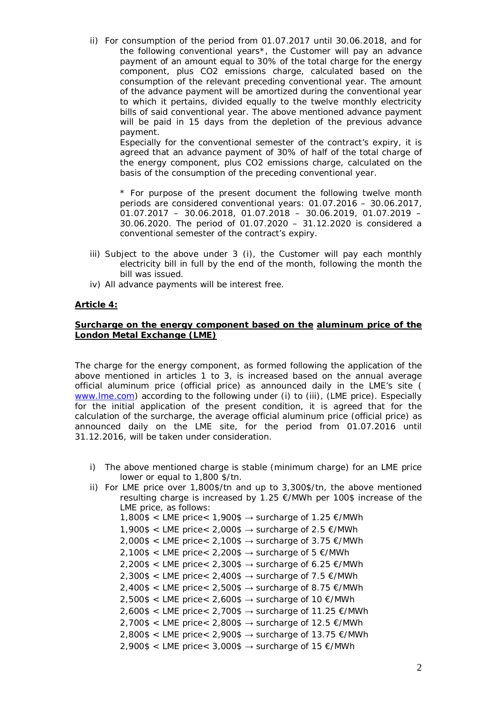ii) For consumption of the period from 01.07.2017 until 30.06.2018, and for the following conventional years\*, the Customer will pay an advance payment of an amount equal to 30% of the total charge for the energy component, plus CO2 emissions charge, calculated based on the consumption of the relevant preceding conventional year. The amount of the advance payment will be amortized during the conventional year to which it pertains, divided equally to the twelve monthly electricity bills of said conventional year. The above mentioned advance payment will be paid in 15 days from the depletion of the previous advance payment.

Especially for the conventional semester of the contract's expiry, it is agreed that an advance payment of 30% of half of the total charge of the energy component, plus CO2 emissions charge, calculated on the basis of the consumption of the preceding conventional year.

*\* For purpose of the present document the following twelve month periods are considered conventional years: 01.07.2016 – 30.06.2017, 01.07.2017 – 30.06.2018, 01.07.2018 – 30.06.2019, 01.07.2019 – 30.06.2020. The period of 01.07.2020 – 31.12.2020 is considered a conventional semester of the contract's expiry.* 

- iii) Subject to the above under 3 (i), the Customer will pay each monthly electricity bill in full by the end of the month, following the month the bill was issued.
- iv) All advance payments will be interest free.

## **Article 4:**

## **Surcharge on the energy component based on the aluminum price of the London Metal Exchange (LME)**

The charge for the energy component, as formed following the application of the above mentioned in articles 1 to 3, is increased based on the annual average official aluminum price (official price) as announced daily in the LME's site ( [www.lme.com](http://www.lme.com/)) according to the following under (i) to (iii), (LME price). Especially for the initial application of the present condition, it is agreed that for the calculation of the surcharge, the average official aluminum price (official price) as announced daily on the LME site, for the period from 01.07.2016 until 31.12.2016, will be taken under consideration.

- i) The above mentioned charge is stable (minimum charge) for an LME price lower or equal to 1,800 \$/tn.
- ii) For LME price over 1,800\$/tn and up to 3,300\$/tn, the above mentioned resulting charge is increased by 1.25 €/MWh per 100\$ increase of the LME price, as follows:  $1,800\$  < LME price <  $1,900\$   $\rightarrow$  surcharge of 1.25  $\epsilon$ /MWh 1,900\$ < LME price < 2,000\$  $\rightarrow$  surcharge of 2.5  $\epsilon$ /MWh
	- $2,000\$  < LME price <  $2,100\$   $\rightarrow$  surcharge of 3.75  $\epsilon$ /MWh
	- $2,100\$  < LME price < 2,200\$  $\rightarrow$  surcharge of 5  $\epsilon$ /MWh
	- $2,200\$  < LME price < 2,300\$  $\rightarrow$  surcharge of 6.25  $\epsilon$ /MWh
	-
	- $2,300\$  < LME price <  $2,400\$   $\rightarrow$  surcharge of 7.5  $\epsilon$ /MWh
	- $2,400\$  < LME price < 2,500\$  $\rightarrow$  surcharge of 8.75  $\epsilon$ /MWh
	- $2,500\$  < LME price < 2,600\$  $\rightarrow$  surcharge of 10  $\epsilon$ /MWh
	- $2,600\$  < LME price < 2,700\$  $\rightarrow$  surcharge of 11.25  $\epsilon$ /MWh
	- $2,700\$  < LME price <  $2,800\$   $\rightarrow$  surcharge of 12.5  $\epsilon$ /MWh
	- $2,800\$  < LME price < 2,900\$  $\rightarrow$  surcharge of 13.75  $\epsilon$ /MWh
	- $2,900\$  < LME price < 3,000\$  $\rightarrow$  surcharge of 15  $\epsilon$ /MWh